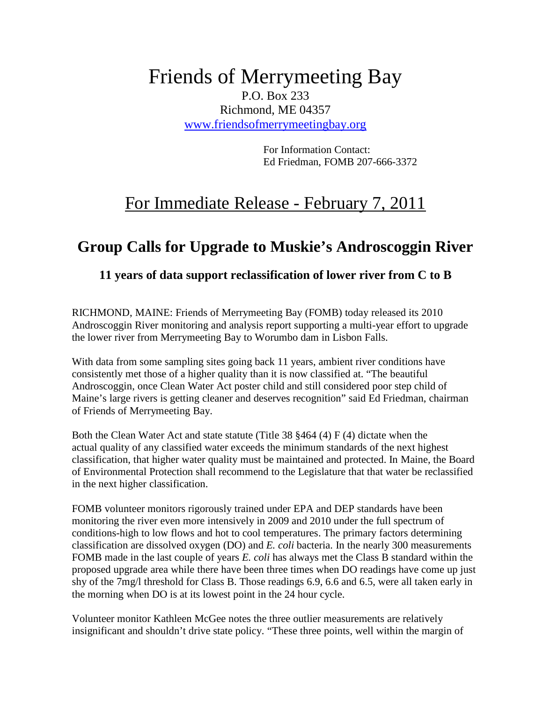## Friends of Merrymeeting Bay P.O. Box 233 Richmond, ME 04357 www.friendsofmerrymeetingbay.org

For Information Contact: Ed Friedman, FOMB 207-666-3372

## For Immediate Release - February 7, 2011

## **Group Calls for Upgrade to Muskie's Androscoggin River**

## **11 years of data support reclassification of lower river from C to B**

RICHMOND, MAINE: Friends of Merrymeeting Bay (FOMB) today released its 2010 Androscoggin River monitoring and analysis report supporting a multi-year effort to upgrade the lower river from Merrymeeting Bay to Worumbo dam in Lisbon Falls.

With data from some sampling sites going back 11 years, ambient river conditions have consistently met those of a higher quality than it is now classified at. "The beautiful Androscoggin, once Clean Water Act poster child and still considered poor step child of Maine's large rivers is getting cleaner and deserves recognition" said Ed Friedman, chairman of Friends of Merrymeeting Bay.

Both the Clean Water Act and state statute (Title 38  $§464$  (4) F (4) dictate when the actual quality of any classified water exceeds the minimum standards of the next highest classification, that higher water quality must be maintained and protected. In Maine, the Board of Environmental Protection shall recommend to the Legislature that that water be reclassified in the next higher classification.

FOMB volunteer monitors rigorously trained under EPA and DEP standards have been monitoring the river even more intensively in 2009 and 2010 under the full spectrum of conditions-high to low flows and hot to cool temperatures. The primary factors determining classification are dissolved oxygen (DO) and *E. coli* bacteria. In the nearly 300 measurements FOMB made in the last couple of years *E. coli* has always met the Class B standard within the proposed upgrade area while there have been three times when DO readings have come up just shy of the 7mg/l threshold for Class B. Those readings 6.9, 6.6 and 6.5, were all taken early in the morning when DO is at its lowest point in the 24 hour cycle.

Volunteer monitor Kathleen McGee notes the three outlier measurements are relatively insignificant and shouldn't drive state policy. "These three points, well within the margin of